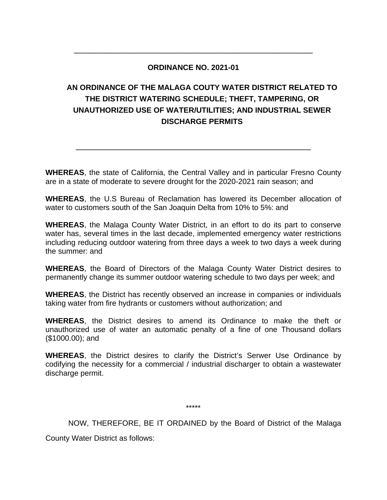## **ORDINANCE NO. 2021-01**

**\_\_\_\_\_\_\_\_\_\_\_\_\_\_\_\_\_\_\_\_\_\_\_\_\_\_\_\_\_\_\_\_\_\_\_\_\_\_\_\_\_\_\_\_\_\_\_\_\_\_\_\_\_\_\_\_\_\_\_\_\_\_\_**

# **AN ORDINANCE OF THE MALAGA COUTY WATER DISTRICT RELATED TO THE DISTRICT WATERING SCHEDULE; THEFT, TAMPERING, OR UNAUTHORIZED USE OF WATER/UTILITIES; AND INDUSTRIAL SEWER DISCHARGE PERMITS**

**WHEREAS**, the state of California, the Central Valley and in particular Fresno County are in a state of moderate to severe drought for the 2020-2021 rain season; and

**\_\_\_\_\_\_\_\_\_\_\_\_\_\_\_\_\_\_\_\_\_\_\_\_\_\_\_\_\_\_\_\_\_\_\_\_\_\_\_\_\_\_\_\_\_\_\_\_\_\_\_\_\_\_\_\_\_\_\_\_\_\_**

**WHEREAS**, the U.S Bureau of Reclamation has lowered its December allocation of water to customers south of the San Joaquin Delta from 10% to 5%: and

**WHEREAS**, the Malaga County Water District, in an effort to do its part to conserve water has, several times in the last decade, implemented emergency water restrictions including reducing outdoor watering from three days a week to two days a week during the summer: and

**WHEREAS**, the Board of Directors of the Malaga County Water District desires to permanently change its summer outdoor watering schedule to two days per week; and

**WHEREAS**, the District has recently observed an increase in companies or individuals taking water from fire hydrants or customers without authorization; and

**WHEREAS**, the District desires to amend its Ordinance to make the theft or unauthorized use of water an automatic penalty of a fine of one Thousand dollars (\$1000.00); and

**WHEREAS**, the District desires to clarify the District's Serwer Use Ordinance by codifying the necessity for a commercial / industrial discharger to obtain a wastewater discharge permit.

\*\*\*\*\*

NOW, THEREFORE, BE IT ORDAINED by the Board of District of the Malaga

County Water District as follows: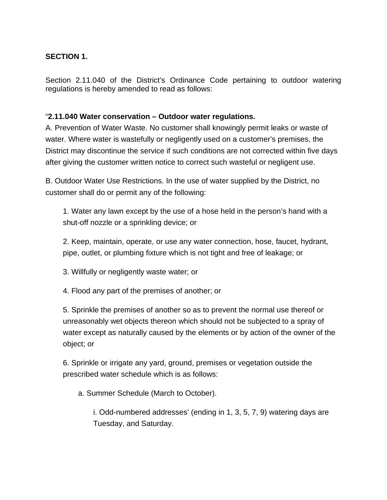# **SECTION 1.**

Section 2.11.040 of the District's Ordinance Code pertaining to outdoor watering regulations is hereby amended to read as follows:

## "**2.11.040 Water conservation – Outdoor water regulations.**

A. Prevention of Water Waste. No customer shall knowingly permit leaks or waste of water. Where water is wastefully or negligently used on a customer's premises, the District may discontinue the service if such conditions are not corrected within five days after giving the customer written notice to correct such wasteful or negligent use.

B. Outdoor Water Use Restrictions. In the use of water supplied by the District, no customer shall do or permit any of the following:

1. Water any lawn except by the use of a hose held in the person's hand with a shut-off nozzle or a sprinkling device; or

2. Keep, maintain, operate, or use any water connection, hose, faucet, hydrant, pipe, outlet, or plumbing fixture which is not tight and free of leakage; or

3. Willfully or negligently waste water; or

4. Flood any part of the premises of another; or

5. Sprinkle the premises of another so as to prevent the normal use thereof or unreasonably wet objects thereon which should not be subjected to a spray of water except as naturally caused by the elements or by action of the owner of the object; or

6. Sprinkle or irrigate any yard, ground, premises or vegetation outside the prescribed water schedule which is as follows:

a. Summer Schedule (March to October).

i. Odd-numbered addresses' (ending in 1, 3, 5, 7, 9) watering days are Tuesday, and Saturday.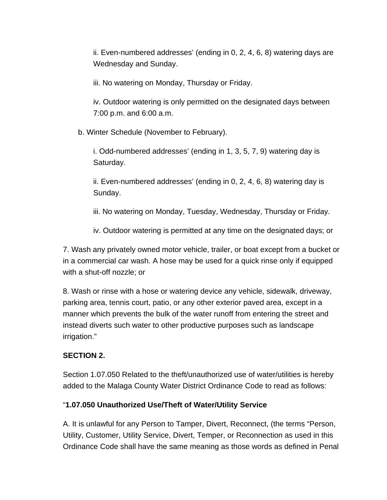ii. Even-numbered addresses' (ending in 0, 2, 4, 6, 8) watering days are Wednesday and Sunday.

iii. No watering on Monday, Thursday or Friday.

iv. Outdoor watering is only permitted on the designated days between 7:00 p.m. and 6:00 a.m.

b. Winter Schedule (November to February).

i. Odd-numbered addresses' (ending in 1, 3, 5, 7, 9) watering day is Saturday.

ii. Even-numbered addresses' (ending in 0, 2, 4, 6, 8) watering day is Sunday.

iii. No watering on Monday, Tuesday, Wednesday, Thursday or Friday.

iv. Outdoor watering is permitted at any time on the designated days; or

7. Wash any privately owned motor vehicle, trailer, or boat except from a bucket or in a commercial car wash. A hose may be used for a quick rinse only if equipped with a shut-off nozzle; or

8. Wash or rinse with a hose or watering device any vehicle, sidewalk, driveway, parking area, tennis court, patio, or any other exterior paved area, except in a manner which prevents the bulk of the water runoff from entering the street and instead diverts such water to other productive purposes such as landscape irrigation."

# **SECTION 2.**

Section 1.07.050 Related to the theft/unauthorized use of water/utilities is hereby added to the Malaga County Water District Ordinance Code to read as follows:

#### "**1.07.050 Unauthorized Use/Theft of Water/Utility Service**

A. It is unlawful for any Person to Tamper, Divert, Reconnect, (the terms "Person, Utility, Customer, Utility Service, Divert, Temper, or Reconnection as used in this Ordinance Code shall have the same meaning as those words as defined in Penal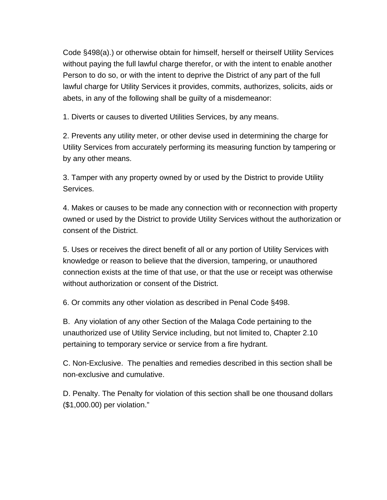Code §498(a).) or otherwise obtain for himself, herself or theirself Utility Services without paying the full lawful charge therefor, or with the intent to enable another Person to do so, or with the intent to deprive the District of any part of the full lawful charge for Utility Services it provides, commits, authorizes, solicits, aids or abets, in any of the following shall be guilty of a misdemeanor:

1. Diverts or causes to diverted Utilities Services, by any means.

2. Prevents any utility meter, or other devise used in determining the charge for Utility Services from accurately performing its measuring function by tampering or by any other means.

3. Tamper with any property owned by or used by the District to provide Utility Services.

4. Makes or causes to be made any connection with or reconnection with property owned or used by the District to provide Utility Services without the authorization or consent of the District.

5. Uses or receives the direct benefit of all or any portion of Utility Services with knowledge or reason to believe that the diversion, tampering, or unauthored connection exists at the time of that use, or that the use or receipt was otherwise without authorization or consent of the District.

6. Or commits any other violation as described in Penal Code §498.

B. Any violation of any other Section of the Malaga Code pertaining to the unauthorized use of Utility Service including, but not limited to, Chapter 2.10 pertaining to temporary service or service from a fire hydrant.

C. Non-Exclusive. The penalties and remedies described in this section shall be non-exclusive and cumulative.

D. Penalty. The Penalty for violation of this section shall be one thousand dollars (\$1,000.00) per violation."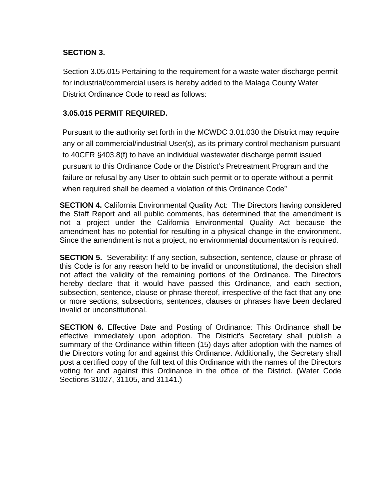## **SECTION 3.**

Section 3.05.015 Pertaining to the requirement for a waste water discharge permit for industrial/commercial users is hereby added to the Malaga County Water District Ordinance Code to read as follows:

### **3.05.015 PERMIT REQUIRED.**

Pursuant to the authority set forth in the MCWDC 3.01.030 the District may require any or all commercial/industrial User(s), as its primary control mechanism pursuant to 40CFR §403.8(f) to have an individual wastewater discharge permit issued pursuant to this Ordinance Code or the District's Pretreatment Program and the failure or refusal by any User to obtain such permit or to operate without a permit when required shall be deemed a violation of this Ordinance Code"

**SECTION 4.** California Environmental Quality Act: The Directors having considered the Staff Report and all public comments, has determined that the amendment is not a project under the California Environmental Quality Act because the amendment has no potential for resulting in a physical change in the environment. Since the amendment is not a project, no environmental documentation is required.

**SECTION 5.** Severability: If any section, subsection, sentence, clause or phrase of this Code is for any reason held to be invalid or unconstitutional, the decision shall not affect the validity of the remaining portions of the Ordinance. The Directors hereby declare that it would have passed this Ordinance, and each section, subsection, sentence, clause or phrase thereof, irrespective of the fact that any one or more sections, subsections, sentences, clauses or phrases have been declared invalid or unconstitutional.

**SECTION 6.** Effective Date and Posting of Ordinance: This Ordinance shall be effective immediately upon adoption. The District's Secretary shall publish a summary of the Ordinance within fifteen (15) days after adoption with the names of the Directors voting for and against this Ordinance. Additionally, the Secretary shall post a certified copy of the full text of this Ordinance with the names of the Directors voting for and against this Ordinance in the office of the District. (Water Code Sections 31027, 31105, and 31141.)